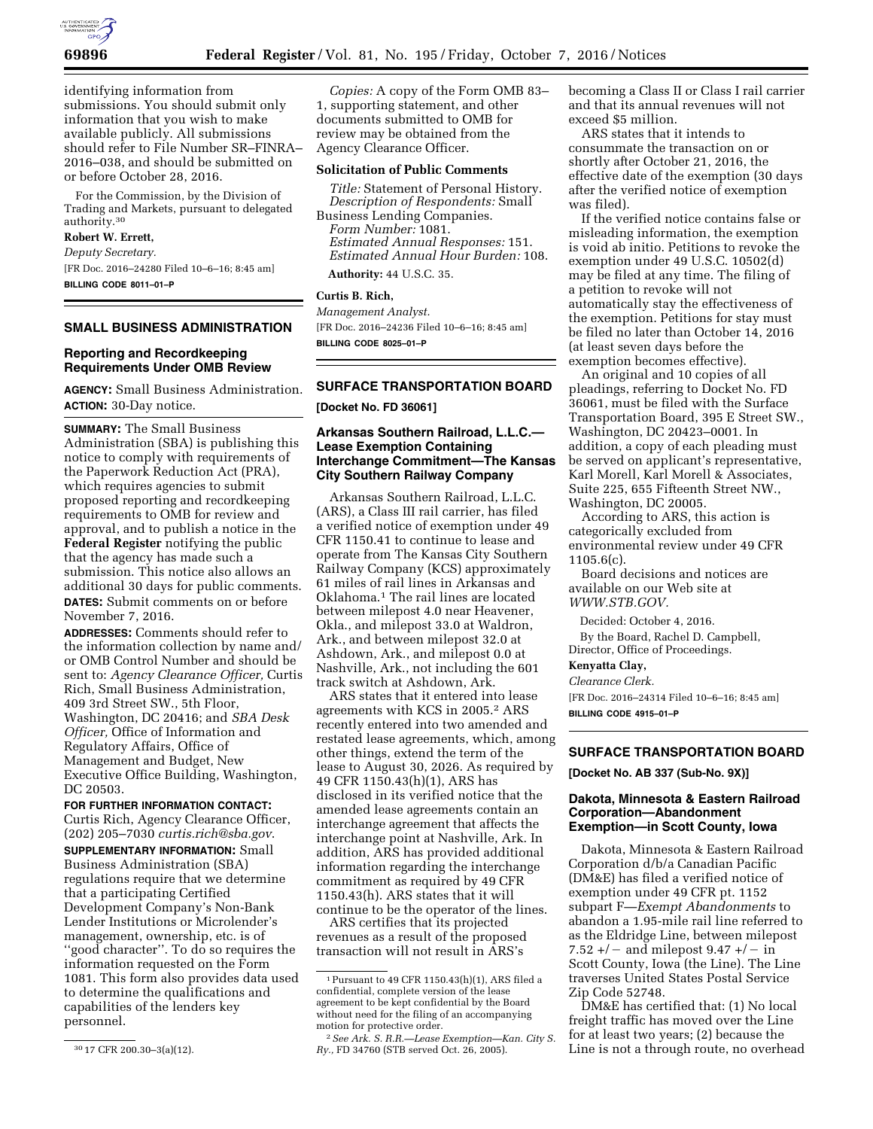

identifying information from submissions. You should submit only information that you wish to make available publicly. All submissions should refer to File Number SR–FINRA– 2016–038, and should be submitted on or before October 28, 2016.

For the Commission, by the Division of Trading and Markets, pursuant to delegated authority.30

# **Robert W. Errett,**

*Deputy Secretary.*  [FR Doc. 2016–24280 Filed 10–6–16; 8:45 am] **BILLING CODE 8011–01–P** 

### **SMALL BUSINESS ADMINISTRATION**

### **Reporting and Recordkeeping Requirements Under OMB Review**

**AGENCY:** Small Business Administration. **ACTION:** 30-Day notice.

**SUMMARY:** The Small Business Administration (SBA) is publishing this notice to comply with requirements of the Paperwork Reduction Act (PRA), which requires agencies to submit proposed reporting and recordkeeping requirements to OMB for review and approval, and to publish a notice in the **Federal Register** notifying the public that the agency has made such a submission. This notice also allows an additional 30 days for public comments. **DATES:** Submit comments on or before November 7, 2016.

**ADDRESSES:** Comments should refer to the information collection by name and/ or OMB Control Number and should be sent to: *Agency Clearance Officer,* Curtis Rich, Small Business Administration, 409 3rd Street SW., 5th Floor, Washington, DC 20416; and *SBA Desk Officer,* Office of Information and Regulatory Affairs, Office of Management and Budget, New Executive Office Building, Washington, DC 20503.

**FOR FURTHER INFORMATION CONTACT:**  Curtis Rich, Agency Clearance Officer, (202) 205–7030 *[curtis.rich@sba.gov](mailto:curtis.rich@sba.gov)*. **SUPPLEMENTARY INFORMATION:** Small Business Administration (SBA) regulations require that we determine that a participating Certified Development Company's Non-Bank Lender Institutions or Microlender's management, ownership, etc. is of ''good character''. To do so requires the information requested on the Form 1081. This form also provides data used to determine the qualifications and capabilities of the lenders key personnel.

*Copies:* A copy of the Form OMB 83– 1, supporting statement, and other documents submitted to OMB for review may be obtained from the Agency Clearance Officer.

#### **Solicitation of Public Comments**

*Title:* Statement of Personal History. *Description of Respondents:* Small Business Lending Companies.

*Form Number:* 1081. *Estimated Annual Responses:* 151. *Estimated Annual Hour Burden:* 108.

**Authority:** 44 U.S.C. 35.

#### **Curtis B. Rich,**

*Management Analyst.*  [FR Doc. 2016–24236 Filed 10–6–16; 8:45 am] **BILLING CODE 8025–01–P** 

### **SURFACE TRANSPORTATION BOARD**

**[Docket No. FD 36061]** 

### **Arkansas Southern Railroad, L.L.C.— Lease Exemption Containing Interchange Commitment—The Kansas City Southern Railway Company**

Arkansas Southern Railroad, L.L.C. (ARS), a Class III rail carrier, has filed a verified notice of exemption under 49 CFR 1150.41 to continue to lease and operate from The Kansas City Southern Railway Company (KCS) approximately 61 miles of rail lines in Arkansas and Oklahoma.1 The rail lines are located between milepost 4.0 near Heavener, Okla., and milepost 33.0 at Waldron, Ark., and between milepost 32.0 at Ashdown, Ark., and milepost 0.0 at Nashville, Ark., not including the 601 track switch at Ashdown, Ark.

ARS states that it entered into lease agreements with KCS in 2005.2 ARS recently entered into two amended and restated lease agreements, which, among other things, extend the term of the lease to August 30, 2026. As required by 49 CFR 1150.43(h)(1), ARS has disclosed in its verified notice that the amended lease agreements contain an interchange agreement that affects the interchange point at Nashville, Ark. In addition, ARS has provided additional information regarding the interchange commitment as required by 49 CFR 1150.43(h). ARS states that it will continue to be the operator of the lines.

ARS certifies that its projected revenues as a result of the proposed transaction will not result in ARS's

becoming a Class II or Class I rail carrier and that its annual revenues will not exceed \$5 million.

ARS states that it intends to consummate the transaction on or shortly after October 21, 2016, the effective date of the exemption (30 days after the verified notice of exemption was filed).

If the verified notice contains false or misleading information, the exemption is void ab initio. Petitions to revoke the exemption under 49 U.S.C. 10502(d) may be filed at any time. The filing of a petition to revoke will not automatically stay the effectiveness of the exemption. Petitions for stay must be filed no later than October 14, 2016 (at least seven days before the exemption becomes effective).

An original and 10 copies of all pleadings, referring to Docket No. FD 36061, must be filed with the Surface Transportation Board, 395 E Street SW., Washington, DC 20423–0001. In addition, a copy of each pleading must be served on applicant's representative, Karl Morell, Karl Morell & Associates, Suite 225, 655 Fifteenth Street NW., Washington, DC 20005.

According to ARS, this action is categorically excluded from environmental review under 49 CFR 1105.6(c).

Board decisions and notices are available on our Web site at *WWW.STB.GOV.* 

Decided: October 4, 2016.

By the Board, Rachel D. Campbell, Director, Office of Proceedings.

**Kenyatta Clay,** 

#### *Clearance Clerk.*

[FR Doc. 2016–24314 Filed 10–6–16; 8:45 am] **BILLING CODE 4915–01–P** 

### **SURFACE TRANSPORTATION BOARD**

**[Docket No. AB 337 (Sub-No. 9X)]** 

#### **Dakota, Minnesota & Eastern Railroad Corporation—Abandonment Exemption—in Scott County, Iowa**

Dakota, Minnesota & Eastern Railroad Corporation d/b/a Canadian Pacific (DM&E) has filed a verified notice of exemption under 49 CFR pt. 1152 subpart F—*Exempt Abandonments* to abandon a 1.95-mile rail line referred to as the Eldridge Line, between milepost 7.52 +/ – and milepost  $9.47 + (-\text{in})$ Scott County, Iowa (the Line). The Line traverses United States Postal Service Zip Code 52748.

DM&E has certified that: (1) No local freight traffic has moved over the Line for at least two years; (2) because the Line is not a through route, no overhead

<sup>30</sup> 17 CFR 200.30–3(a)(12).

<sup>1</sup>Pursuant to 49 CFR 1150.43(h)(1), ARS filed a confidential, complete version of the lease agreement to be kept confidential by the Board without need for the filing of an accompanying motion for protective order.

<sup>2</sup>*See Ark. S. R.R.—Lease Exemption—Kan. City S. Ry.,* FD 34760 (STB served Oct. 26, 2005).